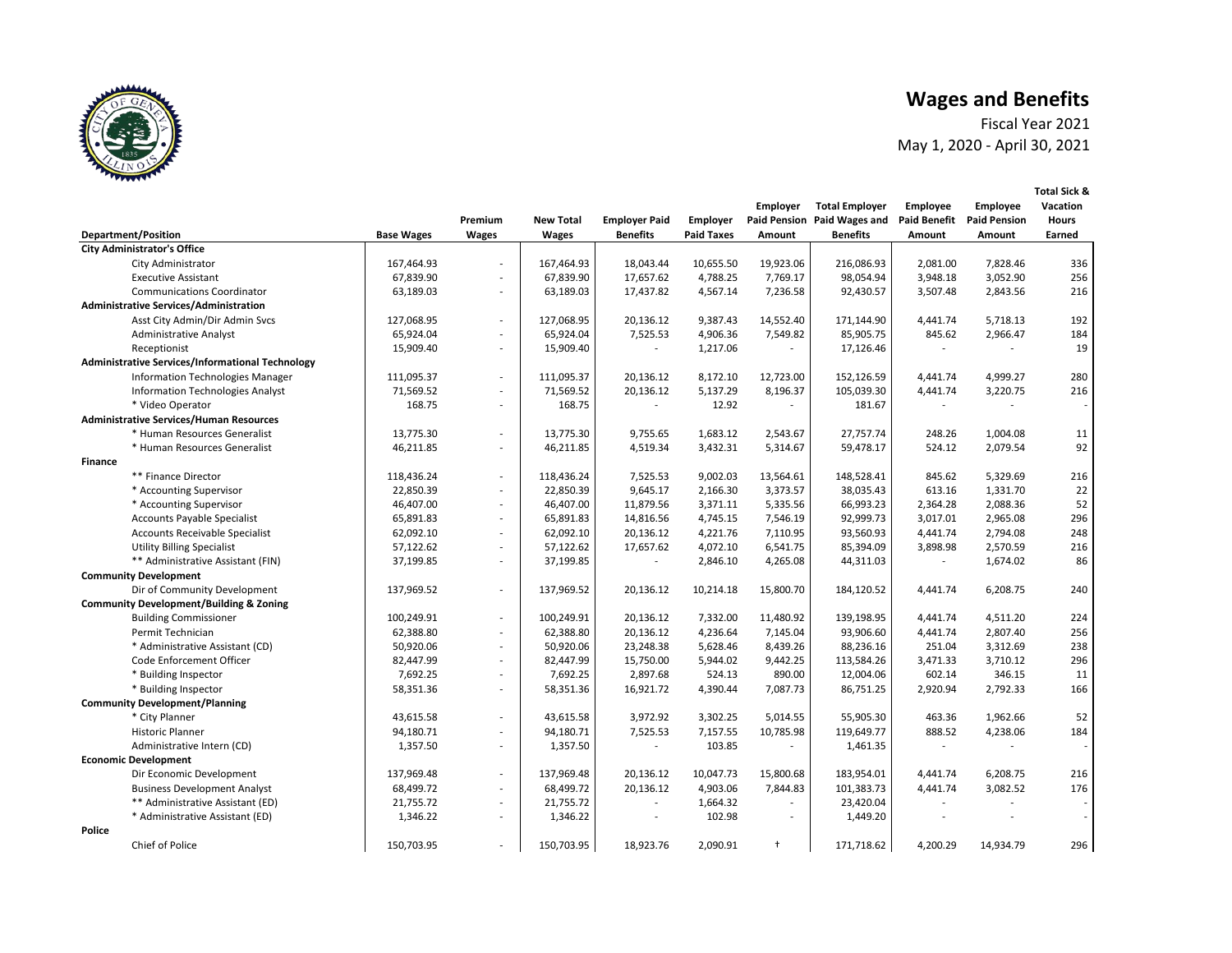

**Total Sick &** 

Fiscal Year 2021 May 1, 2020 - April 30, 2021

|                                                         |                   |                          |                  |                      |            | <b>Employer</b>          | <b>Total Employer</b>       | Employee     | Employee            | Vacation                 |
|---------------------------------------------------------|-------------------|--------------------------|------------------|----------------------|------------|--------------------------|-----------------------------|--------------|---------------------|--------------------------|
|                                                         |                   | Premium                  | <b>New Total</b> | <b>Employer Paid</b> | Employer   |                          | Paid Pension Paid Wages and | Paid Benefit | <b>Paid Pension</b> | <b>Hours</b>             |
| <b>Department/Position</b>                              | <b>Base Wages</b> | <b>Wages</b>             | Wages            | <b>Benefits</b>      | Paid Taxes | Amount                   | <b>Benefits</b>             | Amount       | Amount              | Earned                   |
| <b>City Administrator's Office</b>                      |                   |                          |                  |                      |            |                          |                             |              |                     |                          |
| City Administrator                                      | 167,464.93        | $\overline{\phantom{a}}$ | 167,464.93       | 18,043.44            | 10,655.50  | 19,923.06                | 216,086.93                  | 2,081.00     | 7,828.46            | 336                      |
| <b>Executive Assistant</b>                              | 67,839.90         | $\sim$                   | 67,839.90        | 17,657.62            | 4,788.25   | 7,769.17                 | 98,054.94                   | 3,948.18     | 3,052.90            | 256                      |
| <b>Communications Coordinator</b>                       | 63,189.03         | $\overline{\phantom{a}}$ | 63,189.03        | 17,437.82            | 4,567.14   | 7,236.58                 | 92,430.57                   | 3,507.48     | 2,843.56            | 216                      |
| <b>Administrative Services/Administration</b>           |                   |                          |                  |                      |            |                          |                             |              |                     |                          |
| Asst City Admin/Dir Admin Svcs                          | 127,068.95        | ÷.                       | 127,068.95       | 20,136.12            | 9,387.43   | 14,552.40                | 171,144.90                  | 4,441.74     | 5,718.13            | 192                      |
| <b>Administrative Analyst</b>                           | 65,924.04         | $\overline{\phantom{a}}$ | 65,924.04        | 7,525.53             | 4,906.36   | 7,549.82                 | 85,905.75                   | 845.62       | 2,966.47            | 184                      |
| Receptionist                                            | 15,909.40         | $\overline{\phantom{a}}$ | 15,909.40        | ٠                    | 1,217.06   |                          | 17,126.46                   |              |                     | 19                       |
| <b>Administrative Services/Informational Technology</b> |                   |                          |                  |                      |            |                          |                             |              |                     |                          |
| <b>Information Technologies Manager</b>                 | 111,095.37        | ÷.                       | 111,095.37       | 20,136.12            | 8,172.10   | 12,723.00                | 152,126.59                  | 4,441.74     | 4,999.27            | 280                      |
| <b>Information Technologies Analyst</b>                 | 71,569.52         | ÷.                       | 71,569.52        | 20,136.12            | 5,137.29   | 8,196.37                 | 105,039.30                  | 4,441.74     | 3,220.75            | 216                      |
| * Video Operator                                        | 168.75            | $\overline{\phantom{a}}$ | 168.75           |                      | 12.92      | $\sim$                   | 181.67                      |              |                     | $\sim$                   |
| <b>Administrative Services/Human Resources</b>          |                   |                          |                  |                      |            |                          |                             |              |                     |                          |
| * Human Resources Generalist                            | 13,775.30         | ÷.                       | 13,775.30        | 9,755.65             | 1,683.12   | 2,543.67                 | 27,757.74                   | 248.26       | 1,004.08            | 11                       |
| * Human Resources Generalist                            | 46,211.85         | $\sim$                   | 46,211.85        | 4,519.34             | 3,432.31   | 5,314.67                 | 59,478.17                   | 524.12       | 2,079.54            | 92                       |
| <b>Finance</b>                                          |                   |                          |                  |                      |            |                          |                             |              |                     |                          |
| ** Finance Director                                     | 118,436.24        | ÷.                       | 118,436.24       | 7,525.53             | 9,002.03   | 13,564.61                | 148,528.41                  | 845.62       | 5,329.69            | 216                      |
| * Accounting Supervisor                                 | 22,850.39         | $\sim$                   | 22.850.39        | 9,645.17             | 2,166.30   | 3,373.57                 | 38,035.43                   | 613.16       | 1,331.70            | 22                       |
| * Accounting Supervisor                                 | 46,407.00         | ÷.                       | 46,407.00        | 11,879.56            | 3,371.11   | 5,335.56                 | 66,993.23                   | 2,364.28     | 2,088.36            | 52                       |
| <b>Accounts Payable Specialist</b>                      | 65,891.83         | $\overline{\phantom{a}}$ | 65,891.83        | 14,816.56            | 4,745.15   | 7,546.19                 | 92,999.73                   | 3,017.01     | 2,965.08            | 296                      |
| <b>Accounts Receivable Specialist</b>                   | 62,092.10         | $\sim$                   | 62,092.10        | 20,136.12            | 4,221.76   | 7,110.95                 | 93,560.93                   | 4,441.74     | 2,794.08            | 248                      |
| <b>Utility Billing Specialist</b>                       | 57,122.62         | $\sim$                   | 57,122.62        | 17,657.62            | 4,072.10   | 6,541.75                 | 85,394.09                   | 3,898.98     | 2,570.59            | 216                      |
| ** Administrative Assistant (FIN)                       | 37,199.85         | $\overline{\phantom{a}}$ | 37,199.85        |                      | 2,846.10   | 4,265.08                 | 44,311.03                   |              | 1,674.02            | 86                       |
| <b>Community Development</b>                            |                   |                          |                  |                      |            |                          |                             |              |                     |                          |
| Dir of Community Development                            | 137,969.52        | ÷.                       | 137,969.52       | 20,136.12            | 10,214.18  | 15,800.70                | 184,120.52                  | 4,441.74     | 6,208.75            | 240                      |
| <b>Community Development/Building &amp; Zoning</b>      |                   |                          |                  |                      |            |                          |                             |              |                     |                          |
| <b>Building Commissioner</b>                            | 100,249.91        | $\overline{\phantom{a}}$ | 100,249.91       | 20,136.12            | 7,332.00   | 11,480.92                | 139,198.95                  | 4,441.74     | 4,511.20            | 224                      |
| Permit Technician                                       | 62,388.80         | ÷.                       | 62,388.80        | 20,136.12            | 4,236.64   | 7,145.04                 | 93,906.60                   | 4,441.74     | 2,807.40            | 256                      |
| * Administrative Assistant (CD)                         | 50,920.06         | ÷.                       | 50,920.06        | 23,248.38            | 5,628.46   | 8,439.26                 | 88,236.16                   | 251.04       | 3,312.69            | 238                      |
| Code Enforcement Officer                                | 82,447.99         | $\sim$                   | 82,447.99        | 15,750.00            | 5,944.02   | 9,442.25                 | 113,584.26                  | 3,471.33     | 3,710.12            | 296                      |
| * Building Inspector                                    | 7,692.25          | $\sim$                   | 7,692.25         | 2,897.68             | 524.13     | 890.00                   | 12,004.06                   | 602.14       | 346.15              | 11                       |
| * Building Inspector                                    | 58,351.36         | $\overline{\phantom{a}}$ | 58,351.36        | 16,921.72            | 4,390.44   | 7,087.73                 | 86,751.25                   | 2,920.94     | 2,792.33            | 166                      |
| <b>Community Development/Planning</b>                   |                   |                          |                  |                      |            |                          |                             |              |                     |                          |
| * City Planner                                          | 43,615.58         | $\sim$                   | 43,615.58        | 3,972.92             | 3,302.25   | 5,014.55                 | 55,905.30                   | 463.36       | 1,962.66            | 52                       |
| <b>Historic Planner</b>                                 | 94,180.71         | $\sim$                   | 94,180.71        | 7,525.53             | 7,157.55   | 10,785.98                | 119,649.77                  | 888.52       | 4,238.06            | 184                      |
| Administrative Intern (CD)                              | 1,357.50          | $\sim$                   | 1,357.50         |                      | 103.85     |                          | 1,461.35                    |              |                     | $\overline{\phantom{a}}$ |
| <b>Economic Development</b>                             |                   |                          |                  |                      |            |                          |                             |              |                     |                          |
| Dir Economic Development                                | 137,969.48        | $\sim$                   | 137,969.48       | 20,136.12            | 10,047.73  | 15,800.68                | 183,954.01                  | 4,441.74     | 6,208.75            | 216                      |
| <b>Business Development Analyst</b>                     | 68,499.72         | $\sim$                   | 68,499.72        | 20,136.12            | 4,903.06   | 7,844.83                 | 101,383.73                  | 4,441.74     | 3,082.52            | 176                      |
| ** Administrative Assistant (ED)                        | 21,755.72         | ÷.                       | 21,755.72        |                      | 1,664.32   |                          | 23,420.04                   |              |                     |                          |
| * Administrative Assistant (ED)                         | 1,346.22          | $\overline{\phantom{a}}$ | 1,346.22         | $\overline{a}$       | 102.98     | $\overline{\phantom{a}}$ | 1,449.20                    |              |                     | $\overline{\phantom{a}}$ |
| Police                                                  |                   |                          |                  |                      |            |                          |                             |              |                     |                          |
| <b>Chief of Police</b>                                  | 150,703.95        | $\sim$                   | 150,703.95       | 18.923.76            | 2,090.91   | $\ddagger$               | 171,718.62                  | 4,200.29     | 14,934.79           | 296                      |
|                                                         |                   |                          |                  |                      |            |                          |                             |              |                     |                          |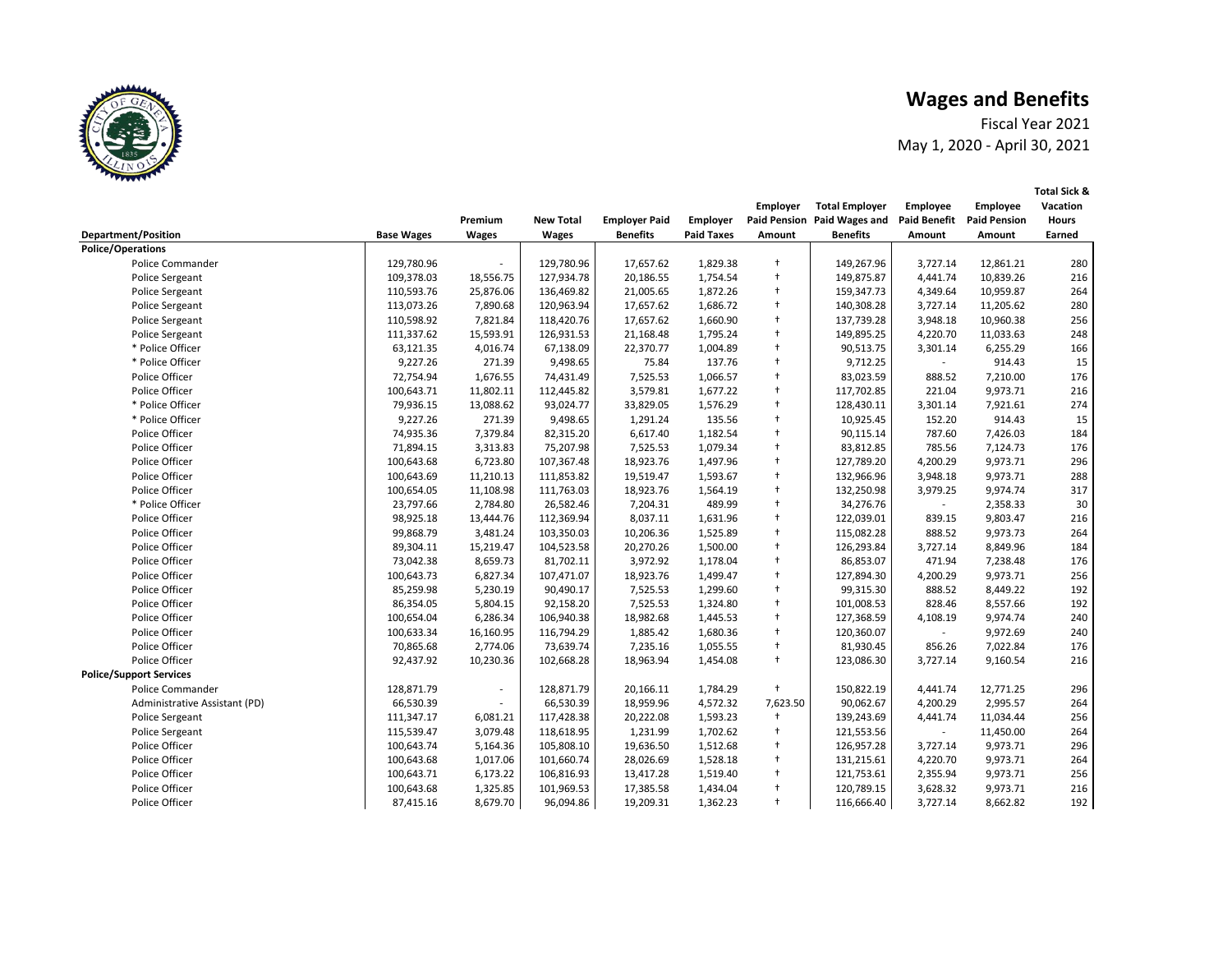Fiscal Year 2021 May 1, 2020 - April 30, 2021

|                                |                   |                          |                  |                      |                   | Employer             | <b>Total Employer</b>       | Employee            | Employee            | Vacation     |
|--------------------------------|-------------------|--------------------------|------------------|----------------------|-------------------|----------------------|-----------------------------|---------------------|---------------------|--------------|
|                                |                   | Premium                  | <b>New Total</b> | <b>Employer Paid</b> | Employer          |                      | Paid Pension Paid Wages and | <b>Paid Benefit</b> | <b>Paid Pension</b> | <b>Hours</b> |
| Department/Position            | <b>Base Wages</b> | Wages                    | <b>Wages</b>     | <b>Benefits</b>      | <b>Paid Taxes</b> | Amount               | <b>Benefits</b>             | Amount              | Amount              | Earned       |
| <b>Police/Operations</b>       |                   |                          |                  |                      |                   |                      |                             |                     |                     |              |
| Police Commander               | 129,780.96        |                          | 129,780.96       | 17,657.62            | 1,829.38          | $^{+}$               | 149,267.96                  | 3,727.14            | 12,861.21           | 280          |
| Police Sergeant                | 109,378.03        | 18,556.75                | 127,934.78       | 20,186.55            | 1,754.54          | $\ddagger$           | 149,875.87                  | 4,441.74            | 10,839.26           | 216          |
| Police Sergeant                | 110,593.76        | 25,876.06                | 136,469.82       | 21,005.65            | 1,872.26          | $\ddagger$           | 159,347.73                  | 4,349.64            | 10,959.87           | 264          |
| <b>Police Sergeant</b>         | 113,073.26        | 7,890.68                 | 120,963.94       | 17,657.62            | 1,686.72          | $\ddagger$           | 140,308.28                  | 3,727.14            | 11,205.62           | 280          |
| <b>Police Sergeant</b>         | 110,598.92        | 7,821.84                 | 118,420.76       | 17,657.62            | 1,660.90          | $\ddagger$           | 137,739.28                  | 3,948.18            | 10,960.38           | 256          |
| <b>Police Sergeant</b>         | 111,337.62        | 15,593.91                | 126,931.53       | 21,168.48            | 1,795.24          | $\ddagger$           | 149,895.25                  | 4,220.70            | 11,033.63           | 248          |
| * Police Officer               | 63,121.35         | 4,016.74                 | 67,138.09        | 22,370.77            | 1,004.89          | $\ddagger$           | 90,513.75                   | 3,301.14            | 6,255.29            | 166          |
| * Police Officer               | 9,227.26          | 271.39                   | 9,498.65         | 75.84                | 137.76            | $\ddagger$           | 9,712.25                    |                     | 914.43              | 15           |
| Police Officer                 | 72,754.94         | 1,676.55                 | 74,431.49        | 7,525.53             | 1,066.57          | $\ddagger$           | 83,023.59                   | 888.52              | 7,210.00            | 176          |
| Police Officer                 | 100,643.71        | 11,802.11                | 112,445.82       | 3,579.81             | 1,677.22          | $\ddagger$           | 117,702.85                  | 221.04              | 9,973.71            | 216          |
| * Police Officer               | 79,936.15         | 13,088.62                | 93,024.77        | 33,829.05            | 1,576.29          | $^\mathrm{+}$        | 128,430.11                  | 3,301.14            | 7,921.61            | 274          |
| * Police Officer               | 9,227.26          | 271.39                   | 9,498.65         | 1,291.24             | 135.56            | $\ddagger$           | 10,925.45                   | 152.20              | 914.43              | 15           |
| Police Officer                 | 74,935.36         | 7,379.84                 | 82,315.20        | 6,617.40             | 1,182.54          | $\ddagger$           | 90,115.14                   | 787.60              | 7,426.03            | 184          |
| Police Officer                 | 71,894.15         | 3,313.83                 | 75,207.98        | 7,525.53             | 1,079.34          | $\ddagger$           | 83,812.85                   | 785.56              | 7,124.73            | 176          |
| Police Officer                 | 100,643.68        | 6,723.80                 | 107,367.48       | 18,923.76            | 1,497.96          | $\ddagger$           | 127,789.20                  | 4,200.29            | 9,973.71            | 296          |
| Police Officer                 | 100,643.69        | 11,210.13                | 111,853.82       | 19,519.47            | 1,593.67          | $\ddagger$           | 132,966.96                  | 3,948.18            | 9,973.71            | 288          |
| Police Officer                 | 100,654.05        | 11,108.98                | 111,763.03       | 18,923.76            | 1,564.19          | $\ddagger$           | 132,250.98                  | 3,979.25            | 9,974.74            | 317          |
| * Police Officer               | 23,797.66         | 2,784.80                 | 26,582.46        | 7,204.31             | 489.99            | $\ddagger$           | 34,276.76                   |                     | 2,358.33            | 30           |
| Police Officer                 | 98,925.18         | 13,444.76                | 112,369.94       | 8,037.11             | 1,631.96          | $\ddagger$           | 122,039.01                  | 839.15              | 9,803.47            | 216          |
| Police Officer                 | 99,868.79         | 3,481.24                 | 103,350.03       | 10,206.36            | 1,525.89          | $\ddagger$           | 115,082.28                  | 888.52              | 9,973.73            | 264          |
| Police Officer                 | 89,304.11         | 15,219.47                | 104,523.58       | 20,270.26            | 1,500.00          | $\ddagger$           | 126,293.84                  | 3,727.14            | 8,849.96            | 184          |
| Police Officer                 | 73,042.38         | 8,659.73                 | 81,702.11        | 3,972.92             | 1,178.04          | $\ddagger$           | 86,853.07                   | 471.94              | 7,238.48            | 176          |
| Police Officer                 | 100,643.73        | 6,827.34                 | 107,471.07       | 18,923.76            | 1,499.47          | $\ddagger$           | 127,894.30                  | 4,200.29            | 9,973.71            | 256          |
| Police Officer                 | 85,259.98         | 5,230.19                 | 90,490.17        | 7,525.53             | 1,299.60          | $\ddagger$           | 99,315.30                   | 888.52              | 8,449.22            | 192          |
| Police Officer                 | 86,354.05         | 5,804.15                 | 92,158.20        | 7,525.53             | 1,324.80          | $\ddagger$           | 101,008.53                  | 828.46              | 8,557.66            | 192          |
| Police Officer                 | 100,654.04        | 6,286.34                 | 106,940.38       | 18,982.68            | 1,445.53          | $\ddagger$           | 127,368.59                  | 4,108.19            | 9,974.74            | 240          |
| Police Officer                 | 100,633.34        | 16,160.95                | 116,794.29       | 1,885.42             | 1,680.36          | $\ddagger$           | 120,360.07                  |                     | 9,972.69            | 240          |
| Police Officer                 | 70,865.68         | 2,774.06                 | 73,639.74        | 7,235.16             | 1,055.55          | $\ddagger$           | 81,930.45                   | 856.26              | 7,022.84            | 176          |
| Police Officer                 | 92,437.92         | 10,230.36                | 102,668.28       | 18,963.94            | 1,454.08          | $\ddagger$           | 123,086.30                  | 3,727.14            | 9,160.54            | 216          |
| <b>Police/Support Services</b> |                   |                          |                  |                      |                   |                      |                             |                     |                     |              |
| Police Commander               | 128,871.79        | $\overline{\phantom{a}}$ | 128,871.79       | 20,166.11            | 1,784.29          | $\ddot{\phantom{1}}$ | 150,822.19                  | 4,441.74            | 12,771.25           | 296          |
| Administrative Assistant (PD)  | 66,530.39         | ÷.                       | 66,530.39        | 18,959.96            | 4,572.32          | 7,623.50             | 90,062.67                   | 4,200.29            | 2,995.57            | 264          |
| <b>Police Sergeant</b>         | 111,347.17        | 6,081.21                 | 117,428.38       | 20,222.08            | 1,593.23          | $\ddagger$           | 139,243.69                  | 4,441.74            | 11,034.44           | 256          |
| <b>Police Sergeant</b>         | 115,539.47        | 3,079.48                 | 118,618.95       | 1,231.99             | 1,702.62          | $\ddagger$           | 121,553.56                  |                     | 11,450.00           | 264          |
| Police Officer                 | 100,643.74        | 5,164.36                 | 105,808.10       | 19,636.50            | 1,512.68          | $\ddagger$           | 126,957.28                  | 3,727.14            | 9,973.71            | 296          |
| Police Officer                 | 100,643.68        | 1,017.06                 | 101,660.74       | 28,026.69            | 1,528.18          | $\ddagger$           | 131,215.61                  | 4,220.70            | 9,973.71            | 264          |
| Police Officer                 | 100,643.71        | 6,173.22                 | 106,816.93       | 13,417.28            | 1,519.40          | $\ddagger$           | 121,753.61                  | 2,355.94            | 9,973.71            | 256          |
| Police Officer                 | 100,643.68        | 1,325.85                 | 101,969.53       | 17,385.58            | 1,434.04          | $\ddagger$           | 120,789.15                  | 3,628.32            | 9,973.71            | 216          |
| Police Officer                 | 87,415.16         | 8,679.70                 | 96,094.86        | 19,209.31            | 1,362.23          | $\ddagger$           | 116,666.40                  | 3,727.14            | 8,662.82            | 192          |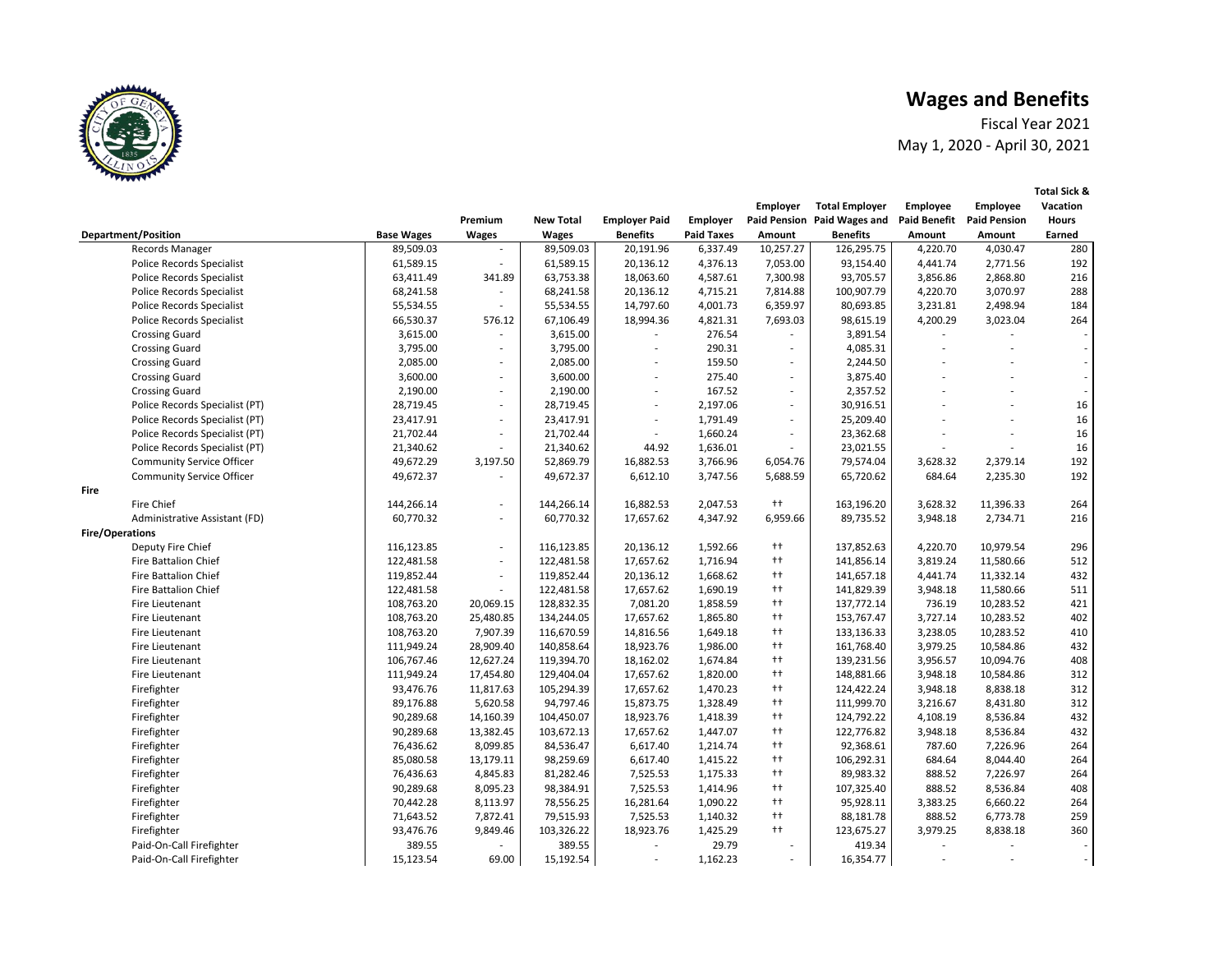Fiscal Year 2021 May 1, 2020 - April 30, 2021

|      |                                  |                   |                          |                  |                          |                   | Employer                 | <b>Total Employer</b>       | <b>Employee</b>          | <b>Employee</b>     | Vacation                 |
|------|----------------------------------|-------------------|--------------------------|------------------|--------------------------|-------------------|--------------------------|-----------------------------|--------------------------|---------------------|--------------------------|
|      |                                  |                   | Premium                  | <b>New Total</b> | <b>Employer Paid</b>     | Employer          |                          | Paid Pension Paid Wages and | <b>Paid Benefit</b>      | <b>Paid Pension</b> | <b>Hours</b>             |
|      | <b>Department/Position</b>       | <b>Base Wages</b> | <b>Wages</b>             | <b>Wages</b>     | <b>Benefits</b>          | <b>Paid Taxes</b> | Amount                   | <b>Benefits</b>             | Amount                   | Amount              | Earned                   |
|      | Records Manager                  | 89,509.03         |                          | 89,509.03        | 20,191.96                | 6,337.49          | 10,257.27                | 126,295.75                  | 4,220.70                 | 4,030.47            | 280                      |
|      | <b>Police Records Specialist</b> | 61,589.15         | ×.                       | 61,589.15        | 20,136.12                | 4,376.13          | 7,053.00                 | 93,154.40                   | 4,441.74                 | 2,771.56            | 192                      |
|      | Police Records Specialist        | 63,411.49         | 341.89                   | 63,753.38        | 18,063.60                | 4,587.61          | 7,300.98                 | 93,705.57                   | 3,856.86                 | 2,868.80            | 216                      |
|      | Police Records Specialist        | 68,241.58         | $\overline{\phantom{a}}$ | 68,241.58        | 20,136.12                | 4,715.21          | 7,814.88                 | 100,907.79                  | 4,220.70                 | 3,070.97            | 288                      |
|      | <b>Police Records Specialist</b> | 55,534.55         | $\sim$                   | 55,534.55        | 14,797.60                | 4,001.73          | 6,359.97                 | 80,693.85                   | 3,231.81                 | 2,498.94            | 184                      |
|      | <b>Police Records Specialist</b> | 66,530.37         | 576.12                   | 67,106.49        | 18,994.36                | 4,821.31          | 7,693.03                 | 98,615.19                   | 4,200.29                 | 3,023.04            | 264                      |
|      | <b>Crossing Guard</b>            | 3,615.00          | ÷.                       | 3,615.00         |                          | 276.54            |                          | 3,891.54                    |                          |                     |                          |
|      | <b>Crossing Guard</b>            | 3,795.00          | $\overline{\phantom{a}}$ | 3,795.00         | $\overline{\phantom{m}}$ | 290.31            | $\overline{\phantom{a}}$ | 4,085.31                    |                          |                     | $\overline{\phantom{a}}$ |
|      | <b>Crossing Guard</b>            | 2,085.00          | ٠                        | 2,085.00         |                          | 159.50            | ٠                        | 2,244.50                    |                          |                     |                          |
|      | <b>Crossing Guard</b>            | 3,600.00          | ÷.                       | 3,600.00         | ä,                       | 275.40            | ÷.                       | 3,875.40                    |                          |                     | $\overline{\phantom{a}}$ |
|      | <b>Crossing Guard</b>            | 2,190.00          | ÷.                       | 2,190.00         | $\overline{\phantom{a}}$ | 167.52            | $\sim$                   | 2,357.52                    |                          |                     |                          |
|      | Police Records Specialist (PT)   | 28,719.45         | $\overline{\phantom{a}}$ | 28,719.45        | $\overline{a}$           | 2,197.06          | $\overline{\phantom{a}}$ | 30,916.51                   |                          |                     | 16                       |
|      | Police Records Specialist (PT)   | 23,417.91         | ÷.                       | 23,417.91        | $\overline{\phantom{a}}$ | 1,791.49          | ÷.                       | 25,209.40                   |                          |                     | 16                       |
|      | Police Records Specialist (PT)   | 21,702.44         | $\overline{\phantom{a}}$ | 21,702.44        | $\overline{a}$           | 1,660.24          | $\overline{\phantom{a}}$ | 23,362.68                   |                          |                     | 16                       |
|      | Police Records Specialist (PT)   | 21,340.62         | ÷.                       | 21,340.62        | 44.92                    | 1,636.01          | ä,                       | 23,021.55                   |                          |                     | 16                       |
|      | <b>Community Service Officer</b> | 49,672.29         | 3,197.50                 | 52,869.79        | 16,882.53                | 3,766.96          | 6,054.76                 | 79,574.04                   | 3,628.32                 | 2,379.14            | 192                      |
|      | <b>Community Service Officer</b> | 49,672.37         |                          | 49,672.37        | 6,612.10                 | 3,747.56          | 5,688.59                 | 65,720.62                   | 684.64                   | 2,235.30            | 192                      |
| Fire |                                  |                   |                          |                  |                          |                   |                          |                             |                          |                     |                          |
|      | Fire Chief                       | 144,266.14        | ٠                        | 144,266.14       | 16,882.53                | 2,047.53          | $++$                     | 163,196.20                  | 3,628.32                 | 11,396.33           | 264                      |
|      | Administrative Assistant (FD)    | 60,770.32         | $\overline{\phantom{a}}$ | 60,770.32        | 17,657.62                | 4,347.92          | 6,959.66                 | 89,735.52                   | 3,948.18                 | 2,734.71            | 216                      |
|      | Fire/Operations                  |                   |                          |                  |                          |                   |                          |                             |                          |                     |                          |
|      | Deputy Fire Chief                | 116,123.85        | $\overline{\phantom{a}}$ | 116,123.85       | 20,136.12                | 1,592.66          | $^{++}$                  | 137,852.63                  | 4,220.70                 | 10,979.54           | 296                      |
|      | <b>Fire Battalion Chief</b>      | 122,481.58        | ÷.                       | 122,481.58       | 17,657.62                | 1,716.94          | $^{++}$                  | 141,856.14                  | 3,819.24                 | 11,580.66           | 512                      |
|      | <b>Fire Battalion Chief</b>      | 119,852.44        | $\overline{\phantom{a}}$ | 119,852.44       | 20,136.12                | 1,668.62          | $^{++}$                  | 141,657.18                  | 4,441.74                 | 11,332.14           | 432                      |
|      | <b>Fire Battalion Chief</b>      | 122,481.58        | ÷.                       | 122,481.58       | 17,657.62                | 1,690.19          | $^{++}$                  | 141,829.39                  | 3,948.18                 | 11,580.66           | 511                      |
|      | Fire Lieutenant                  | 108,763.20        | 20,069.15                | 128,832.35       | 7,081.20                 | 1,858.59          | $^{++}$                  | 137,772.14                  | 736.19                   | 10,283.52           | 421                      |
|      | Fire Lieutenant                  | 108,763.20        | 25,480.85                | 134,244.05       | 17,657.62                | 1,865.80          | $^{++}$                  | 153,767.47                  | 3,727.14                 | 10,283.52           | 402                      |
|      | Fire Lieutenant                  | 108,763.20        | 7,907.39                 | 116,670.59       | 14,816.56                | 1,649.18          | $^{++}$                  | 133,136.33                  | 3,238.05                 | 10,283.52           | 410                      |
|      | Fire Lieutenant                  | 111,949.24        | 28,909.40                | 140,858.64       | 18,923.76                | 1,986.00          | $^{++}$                  | 161,768.40                  | 3,979.25                 | 10,584.86           | 432                      |
|      | Fire Lieutenant                  | 106,767.46        | 12,627.24                | 119,394.70       | 18,162.02                | 1,674.84          | $^{++}$                  | 139,231.56                  | 3,956.57                 | 10,094.76           | 408                      |
|      | Fire Lieutenant                  | 111,949.24        | 17,454.80                | 129,404.04       | 17,657.62                | 1,820.00          | $^{++}$                  | 148,881.66                  | 3,948.18                 | 10,584.86           | 312                      |
|      | Firefighter                      | 93,476.76         | 11,817.63                | 105,294.39       | 17,657.62                | 1,470.23          | $^{++}$                  | 124,422.24                  | 3,948.18                 | 8,838.18            | 312                      |
|      | Firefighter                      | 89,176.88         | 5,620.58                 | 94,797.46        | 15,873.75                | 1,328.49          | $^{++}$                  | 111,999.70                  | 3,216.67                 | 8,431.80            | 312                      |
|      | Firefighter                      | 90,289.68         | 14,160.39                | 104,450.07       | 18,923.76                | 1,418.39          | $^{++}$                  | 124,792.22                  | 4,108.19                 | 8,536.84            | 432                      |
|      | Firefighter                      | 90,289.68         | 13,382.45                | 103,672.13       | 17,657.62                | 1,447.07          | $^{++}$                  | 122,776.82                  | 3,948.18                 | 8,536.84            | 432                      |
|      | Firefighter                      | 76,436.62         | 8,099.85                 | 84,536.47        | 6,617.40                 | 1,214.74          | $^{++}$                  | 92,368.61                   | 787.60                   | 7,226.96            | 264                      |
|      | Firefighter                      | 85,080.58         | 13,179.11                | 98,259.69        | 6,617.40                 | 1,415.22          | $^{++}$                  | 106,292.31                  | 684.64                   | 8,044.40            | 264                      |
|      | Firefighter                      | 76,436.63         | 4,845.83                 | 81,282.46        | 7,525.53                 | 1,175.33          | $^{++}$                  | 89,983.32                   | 888.52                   | 7,226.97            | 264                      |
|      | Firefighter                      | 90,289.68         | 8,095.23                 | 98,384.91        | 7,525.53                 | 1,414.96          | $^{++}$                  | 107,325.40                  | 888.52                   | 8,536.84            | 408                      |
|      | Firefighter                      | 70,442.28         | 8,113.97                 | 78,556.25        | 16,281.64                | 1,090.22          | $^{++}$                  | 95,928.11                   | 3,383.25                 | 6,660.22            | 264                      |
|      | Firefighter                      | 71,643.52         | 7,872.41                 | 79,515.93        | 7,525.53                 | 1,140.32          | $^{++}$                  | 88,181.78                   | 888.52                   | 6,773.78            | 259                      |
|      | Firefighter                      | 93,476.76         | 9,849.46                 | 103,326.22       | 18,923.76                | 1,425.29          | $^{++}$                  | 123,675.27                  | 3,979.25                 | 8,838.18            | 360                      |
|      | Paid-On-Call Firefighter         | 389.55            | $\overline{\phantom{a}}$ | 389.55           | $\overline{\phantom{a}}$ | 29.79             | ٠                        | 419.34                      | $\overline{\phantom{a}}$ | $\sim$              |                          |
|      | Paid-On-Call Firefighter         | 15,123.54         | 69.00                    | 15,192.54        |                          | 1,162.23          |                          | 16,354.77                   |                          |                     |                          |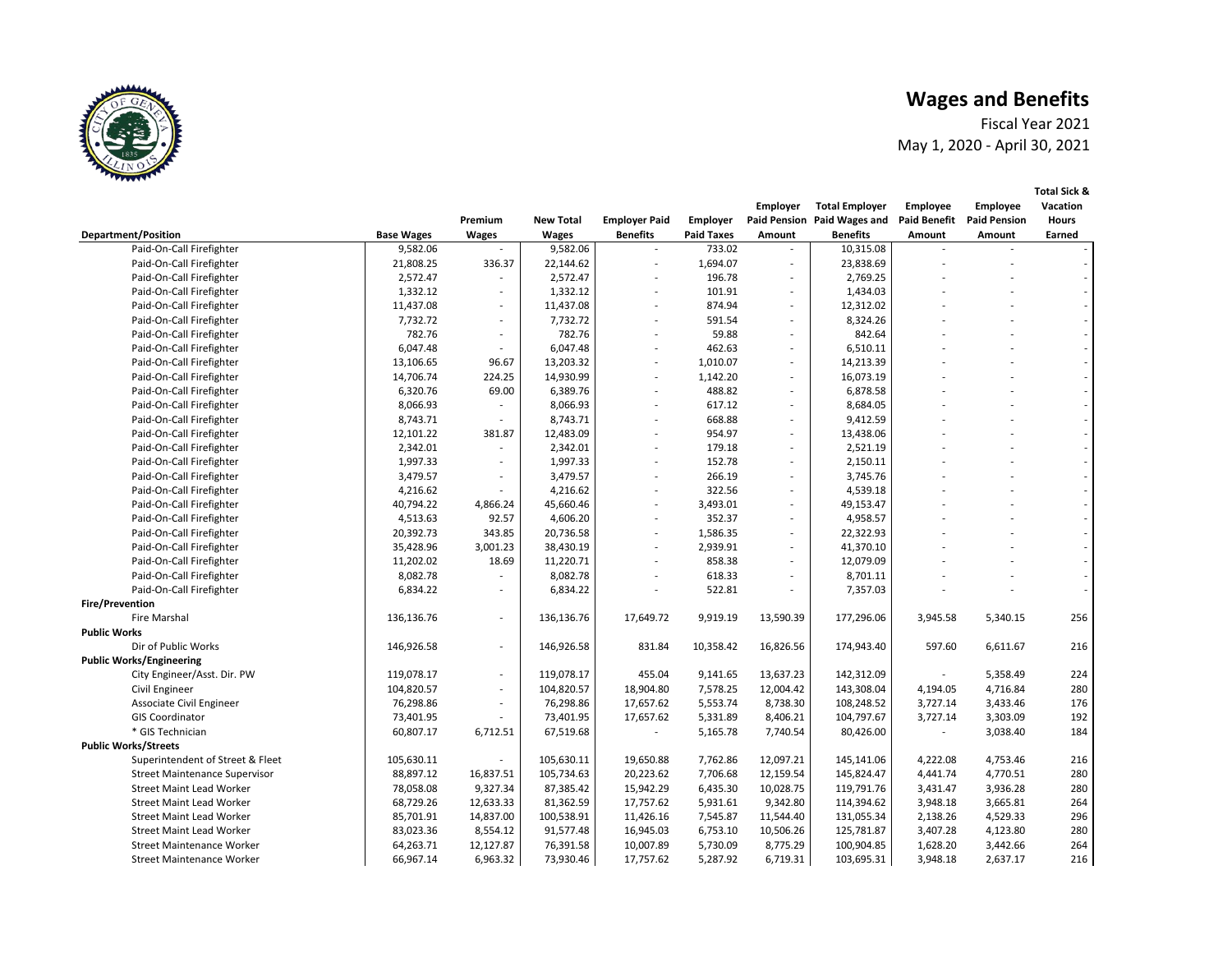Fiscal Year 2021 May 1, 2020 - April 30, 2021

|                                      |                   |                          |                  |                          |                   | <b>Employer</b>          | <b>Total Employer</b>       | Employee            | <b>Employee</b>     | Vacation     |
|--------------------------------------|-------------------|--------------------------|------------------|--------------------------|-------------------|--------------------------|-----------------------------|---------------------|---------------------|--------------|
|                                      |                   | Premium                  | <b>New Total</b> | <b>Employer Paid</b>     | Employer          |                          | Paid Pension Paid Wages and | <b>Paid Benefit</b> | <b>Paid Pension</b> | <b>Hours</b> |
| <b>Department/Position</b>           | <b>Base Wages</b> | <b>Wages</b>             | <b>Wages</b>     | <b>Benefits</b>          | <b>Paid Taxes</b> | Amount                   | <b>Benefits</b>             | Amount              | Amount              | Earned       |
| Paid-On-Call Firefighter             | 9,582.06          |                          | 9,582.06         |                          | 733.02            |                          | 10,315.08                   |                     |                     |              |
| Paid-On-Call Firefighter             | 21,808.25         | 336.37                   | 22,144.62        |                          | 1,694.07          | $\overline{\phantom{a}}$ | 23,838.69                   |                     |                     |              |
| Paid-On-Call Firefighter             | 2,572.47          | $\sim$                   | 2,572.47         |                          | 196.78            | $\overline{\phantom{a}}$ | 2,769.25                    |                     |                     |              |
| Paid-On-Call Firefighter             | 1,332.12          | $\sim$                   | 1,332.12         |                          | 101.91            | $\overline{\phantom{a}}$ | 1,434.03                    |                     |                     |              |
| Paid-On-Call Firefighter             | 11,437.08         | $\sim$                   | 11,437.08        |                          | 874.94            | $\sim$                   | 12,312.02                   |                     |                     |              |
| Paid-On-Call Firefighter             | 7,732.72          | $\overline{\phantom{a}}$ | 7,732.72         | $\overline{\phantom{a}}$ | 591.54            | $\overline{\phantom{a}}$ | 8,324.26                    |                     |                     |              |
| Paid-On-Call Firefighter             | 782.76            | $\sim$                   | 782.76           |                          | 59.88             | $\overline{\phantom{a}}$ | 842.64                      |                     |                     |              |
| Paid-On-Call Firefighter             | 6,047.48          | $\overline{\phantom{a}}$ | 6,047.48         |                          | 462.63            | $\overline{\phantom{a}}$ | 6,510.11                    |                     |                     |              |
| Paid-On-Call Firefighter             | 13,106.65         | 96.67                    | 13,203.32        |                          | 1,010.07          | $\overline{\phantom{a}}$ | 14,213.39                   |                     |                     |              |
| Paid-On-Call Firefighter             | 14,706.74         | 224.25                   | 14,930.99        | $\overline{\phantom{a}}$ | 1,142.20          | $\sim$                   | 16,073.19                   |                     |                     |              |
| Paid-On-Call Firefighter             | 6,320.76          | 69.00                    | 6,389.76         | $\overline{\phantom{a}}$ | 488.82            | $\sim$                   | 6,878.58                    |                     |                     |              |
| Paid-On-Call Firefighter             | 8,066.93          | $\overline{\phantom{a}}$ | 8,066.93         |                          | 617.12            | $\overline{\phantom{a}}$ | 8,684.05                    |                     |                     |              |
| Paid-On-Call Firefighter             | 8,743.71          | $\sim$                   | 8,743.71         |                          | 668.88            | $\overline{\phantom{a}}$ | 9,412.59                    |                     |                     |              |
| Paid-On-Call Firefighter             | 12,101.22         | 381.87                   | 12,483.09        |                          | 954.97            | $\sim$                   | 13,438.06                   |                     |                     |              |
| Paid-On-Call Firefighter             | 2,342.01          | $\sim$                   | 2,342.01         |                          | 179.18            | $\overline{\phantom{a}}$ | 2,521.19                    |                     |                     |              |
| Paid-On-Call Firefighter             | 1,997.33          | $\sim$                   | 1,997.33         | $\overline{\phantom{a}}$ | 152.78            | $\overline{\phantom{a}}$ | 2,150.11                    |                     |                     |              |
| Paid-On-Call Firefighter             | 3,479.57          | $\overline{\phantom{a}}$ | 3,479.57         |                          | 266.19            | $\overline{\phantom{a}}$ | 3,745.76                    |                     |                     |              |
| Paid-On-Call Firefighter             | 4,216.62          | $\overline{\phantom{a}}$ | 4,216.62         |                          | 322.56            | $\overline{\phantom{a}}$ | 4,539.18                    |                     |                     |              |
| Paid-On-Call Firefighter             | 40,794.22         | 4,866.24                 | 45,660.46        |                          | 3,493.01          | $\overline{\phantom{a}}$ | 49,153.47                   |                     |                     |              |
| Paid-On-Call Firefighter             | 4,513.63          | 92.57                    | 4,606.20         | $\overline{\phantom{a}}$ | 352.37            | $\sim$                   | 4,958.57                    |                     |                     |              |
| Paid-On-Call Firefighter             | 20,392.73         | 343.85                   | 20,736.58        | $\overline{\phantom{a}}$ | 1,586.35          | $\sim$                   | 22,322.93                   |                     |                     |              |
| Paid-On-Call Firefighter             | 35,428.96         | 3,001.23                 | 38,430.19        | $\overline{\phantom{a}}$ | 2,939.91          | $\sim$                   | 41,370.10                   |                     |                     |              |
| Paid-On-Call Firefighter             | 11,202.02         | 18.69                    | 11,220.71        | $\overline{\phantom{a}}$ | 858.38            | $\sim$                   | 12,079.09                   |                     |                     |              |
| Paid-On-Call Firefighter             | 8,082.78          | $\sim$                   | 8,082.78         |                          | 618.33            | $\overline{\phantom{a}}$ | 8,701.11                    |                     |                     |              |
| Paid-On-Call Firefighter             | 6,834.22          | $\sim$                   | 6,834.22         |                          | 522.81            | $\sim$                   | 7,357.03                    |                     |                     |              |
| <b>Fire/Prevention</b>               |                   |                          |                  |                          |                   |                          |                             |                     |                     |              |
| <b>Fire Marshal</b>                  | 136,136.76        | ÷.                       | 136,136.76       | 17,649.72                | 9,919.19          | 13,590.39                | 177,296.06                  | 3,945.58            | 5,340.15            | 256          |
| <b>Public Works</b>                  |                   |                          |                  |                          |                   |                          |                             |                     |                     |              |
| Dir of Public Works                  | 146,926.58        | ÷.                       | 146,926.58       | 831.84                   | 10,358.42         | 16,826.56                | 174,943.40                  | 597.60              | 6,611.67            | 216          |
| <b>Public Works/Engineering</b>      |                   |                          |                  |                          |                   |                          |                             |                     |                     |              |
| City Engineer/Asst. Dir. PW          | 119,078.17        | $\sim$                   | 119,078.17       | 455.04                   | 9,141.65          | 13,637.23                | 142,312.09                  |                     | 5,358.49            | 224          |
| Civil Engineer                       | 104,820.57        | $\sim$                   | 104,820.57       | 18,904.80                | 7,578.25          | 12,004.42                | 143,308.04                  | 4,194.05            | 4,716.84            | 280          |
| Associate Civil Engineer             | 76,298.86         | $\sim$                   | 76,298.86        | 17,657.62                | 5,553.74          | 8,738.30                 | 108,248.52                  | 3,727.14            | 3,433.46            | 176          |
| <b>GIS Coordinator</b>               | 73,401.95         |                          | 73,401.95        | 17,657.62                | 5,331.89          | 8,406.21                 | 104,797.67                  | 3,727.14            | 3,303.09            | 192          |
| * GIS Technician                     | 60,807.17         | 6,712.51                 | 67,519.68        |                          | 5,165.78          | 7,740.54                 | 80,426.00                   |                     | 3,038.40            | 184          |
| <b>Public Works/Streets</b>          |                   |                          |                  |                          |                   |                          |                             |                     |                     |              |
| Superintendent of Street & Fleet     | 105,630.11        |                          | 105,630.11       | 19,650.88                | 7,762.86          | 12,097.21                | 145,141.06                  | 4,222.08            | 4,753.46            | 216          |
| <b>Street Maintenance Supervisor</b> | 88,897.12         | 16,837.51                | 105,734.63       | 20,223.62                | 7,706.68          | 12,159.54                | 145,824.47                  | 4,441.74            | 4,770.51            | 280          |
| <b>Street Maint Lead Worker</b>      | 78,058.08         | 9,327.34                 | 87,385.42        | 15,942.29                | 6,435.30          | 10,028.75                | 119,791.76                  | 3,431.47            | 3,936.28            | 280          |
| <b>Street Maint Lead Worker</b>      | 68,729.26         | 12,633.33                | 81,362.59        | 17,757.62                | 5,931.61          | 9,342.80                 | 114,394.62                  | 3,948.18            | 3,665.81            | 264          |
| <b>Street Maint Lead Worker</b>      | 85,701.91         | 14,837.00                | 100,538.91       | 11,426.16                | 7,545.87          | 11,544.40                | 131,055.34                  | 2,138.26            | 4,529.33            | 296          |
| <b>Street Maint Lead Worker</b>      | 83,023.36         | 8,554.12                 | 91,577.48        | 16,945.03                | 6,753.10          | 10,506.26                | 125,781.87                  | 3,407.28            | 4,123.80            | 280          |
| <b>Street Maintenance Worker</b>     | 64,263.71         | 12,127.87                | 76,391.58        | 10,007.89                | 5,730.09          | 8,775.29                 | 100,904.85                  | 1,628.20            | 3,442.66            | 264          |
| <b>Street Maintenance Worker</b>     | 66,967.14         | 6,963.32                 | 73,930.46        | 17,757.62                | 5,287.92          | 6,719.31                 | 103,695.31                  | 3,948.18            | 2,637.17            | 216          |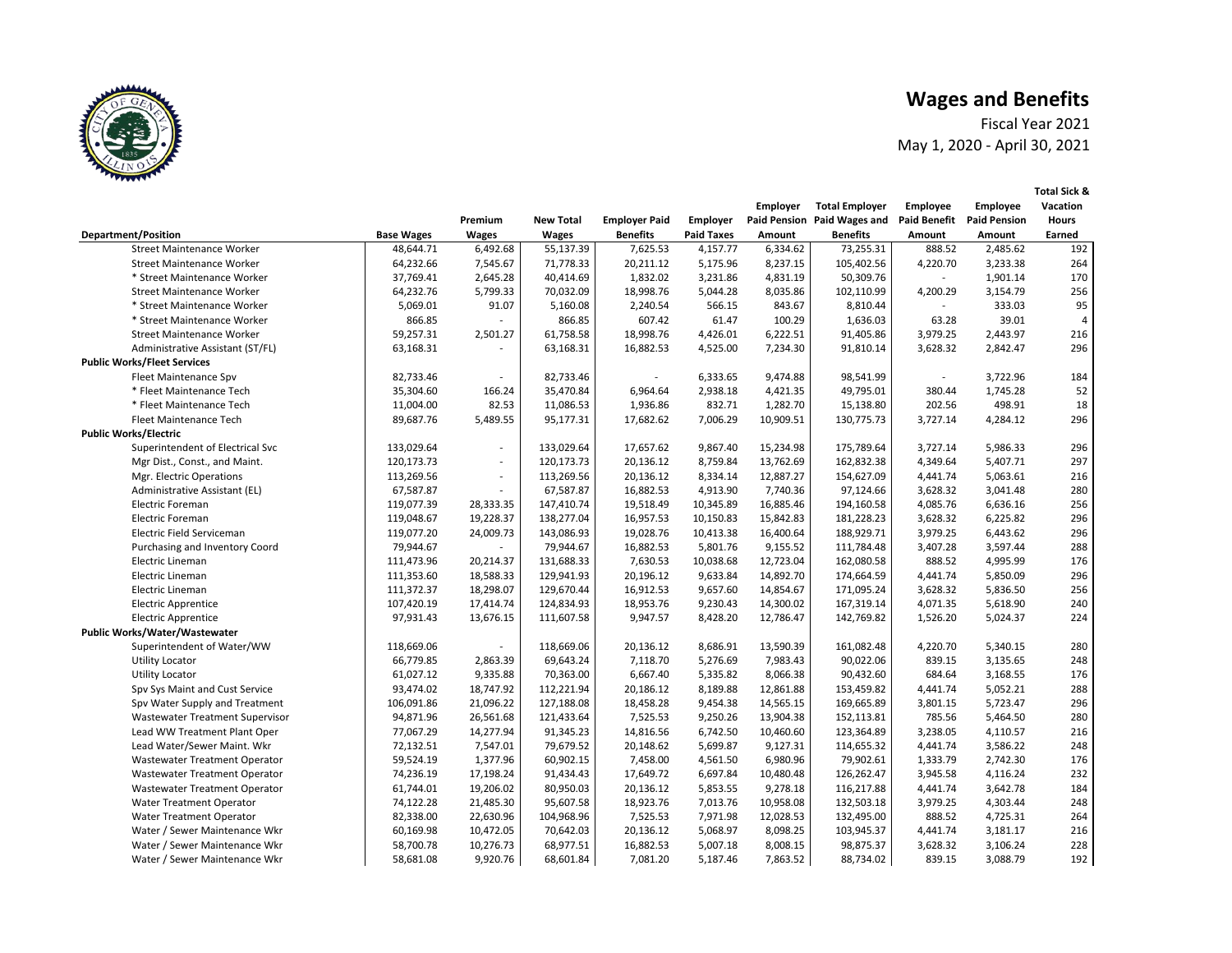Fiscal Year 2021 May 1, 2020 - April 30, 2021

|                                      |                   |           |                  |                      |                   | <b>Employer</b> | <b>Total Employer</b>       | <b>Employee</b>     | <b>Employee</b>     | Vacation       |
|--------------------------------------|-------------------|-----------|------------------|----------------------|-------------------|-----------------|-----------------------------|---------------------|---------------------|----------------|
|                                      |                   | Premium   | <b>New Total</b> | <b>Employer Paid</b> | Employer          |                 | Paid Pension Paid Wages and | <b>Paid Benefit</b> | <b>Paid Pension</b> | <b>Hours</b>   |
| <b>Department/Position</b>           | <b>Base Wages</b> | Wages     | Wages            | <b>Benefits</b>      | <b>Paid Taxes</b> | Amount          | <b>Benefits</b>             | Amount              | Amount              | Earned         |
| Street Maintenance Worker            | 48,644.71         | 6,492.68  | 55,137.39        | 7,625.53             | 4,157.77          | 6,334.62        | 73,255.31                   | 888.52              | 2,485.62            | 192            |
| <b>Street Maintenance Worker</b>     | 64,232.66         | 7,545.67  | 71,778.33        | 20,211.12            | 5,175.96          | 8,237.15        | 105,402.56                  | 4,220.70            | 3,233.38            | 264            |
| * Street Maintenance Worker          | 37,769.41         | 2,645.28  | 40,414.69        | 1,832.02             | 3,231.86          | 4,831.19        | 50,309.76                   |                     | 1,901.14            | 170            |
| <b>Street Maintenance Worker</b>     | 64,232.76         | 5,799.33  | 70,032.09        | 18,998.76            | 5,044.28          | 8,035.86        | 102,110.99                  | 4,200.29            | 3,154.79            | 256            |
| * Street Maintenance Worker          | 5,069.01          | 91.07     | 5,160.08         | 2,240.54             | 566.15            | 843.67          | 8,810.44                    |                     | 333.03              | 95             |
| * Street Maintenance Worker          | 866.85            |           | 866.85           | 607.42               | 61.47             | 100.29          | 1,636.03                    | 63.28               | 39.01               | $\overline{4}$ |
| <b>Street Maintenance Worker</b>     | 59,257.31         | 2,501.27  | 61,758.58        | 18,998.76            | 4,426.01          | 6,222.51        | 91,405.86                   | 3,979.25            | 2,443.97            | 216            |
| Administrative Assistant (ST/FL)     | 63,168.31         | $\sim$    | 63,168.31        | 16,882.53            | 4,525.00          | 7,234.30        | 91,810.14                   | 3,628.32            | 2,842.47            | 296            |
| <b>Public Works/Fleet Services</b>   |                   |           |                  |                      |                   |                 |                             |                     |                     |                |
| Fleet Maintenance Spv                | 82,733.46         | $\sim$    | 82,733.46        |                      | 6,333.65          | 9,474.88        | 98,541.99                   |                     | 3,722.96            | 184            |
| * Fleet Maintenance Tech             | 35,304.60         | 166.24    | 35,470.84        | 6,964.64             | 2,938.18          | 4,421.35        | 49,795.01                   | 380.44              | 1,745.28            | 52             |
| * Fleet Maintenance Tech             | 11,004.00         | 82.53     | 11,086.53        | 1,936.86             | 832.71            | 1,282.70        | 15,138.80                   | 202.56              | 498.91              | 18             |
| Fleet Maintenance Tech               | 89,687.76         | 5,489.55  | 95,177.31        | 17,682.62            | 7,006.29          | 10,909.51       | 130,775.73                  | 3,727.14            | 4,284.12            | 296            |
| <b>Public Works/Electric</b>         |                   |           |                  |                      |                   |                 |                             |                     |                     |                |
| Superintendent of Electrical Svc     | 133,029.64        | $\sim$    | 133,029.64       | 17,657.62            | 9,867.40          | 15,234.98       | 175,789.64                  | 3,727.14            | 5,986.33            | 296            |
| Mgr Dist., Const., and Maint.        | 120,173.73        | $\sim$    | 120,173.73       | 20,136.12            | 8,759.84          | 13,762.69       | 162,832.38                  | 4,349.64            | 5,407.71            | 297            |
| Mgr. Electric Operations             | 113,269.56        | $\sim$    | 113,269.56       | 20,136.12            | 8,334.14          | 12,887.27       | 154,627.09                  | 4,441.74            | 5,063.61            | 216            |
| Administrative Assistant (EL)        | 67,587.87         | $\sim$    | 67,587.87        | 16,882.53            | 4,913.90          | 7,740.36        | 97,124.66                   | 3,628.32            | 3,041.48            | 280            |
| Electric Foreman                     | 119,077.39        | 28,333.35 | 147,410.74       | 19,518.49            | 10,345.89         | 16,885.46       | 194,160.58                  | 4,085.76            | 6,636.16            | 256            |
| <b>Electric Foreman</b>              | 119,048.67        | 19,228.37 | 138,277.04       | 16,957.53            | 10,150.83         | 15,842.83       | 181,228.23                  | 3,628.32            | 6,225.82            | 296            |
| Electric Field Serviceman            | 119,077.20        | 24,009.73 | 143,086.93       | 19,028.76            | 10,413.38         | 16,400.64       | 188,929.71                  | 3,979.25            | 6,443.62            | 296            |
| Purchasing and Inventory Coord       | 79,944.67         | $\sim$    | 79,944.67        | 16,882.53            | 5,801.76          | 9,155.52        | 111,784.48                  | 3,407.28            | 3,597.44            | 288            |
| Electric Lineman                     | 111,473.96        | 20,214.37 | 131,688.33       | 7,630.53             | 10,038.68         | 12,723.04       | 162,080.58                  | 888.52              | 4,995.99            | 176            |
| Electric Lineman                     | 111,353.60        | 18,588.33 | 129,941.93       | 20,196.12            | 9,633.84          | 14,892.70       | 174,664.59                  | 4,441.74            | 5,850.09            | 296            |
| Electric Lineman                     | 111,372.37        | 18,298.07 | 129,670.44       | 16,912.53            | 9,657.60          | 14,854.67       | 171,095.24                  | 3,628.32            | 5,836.50            | 256            |
| <b>Electric Apprentice</b>           | 107,420.19        | 17,414.74 | 124,834.93       | 18,953.76            | 9,230.43          | 14,300.02       | 167,319.14                  | 4,071.35            | 5,618.90            | 240            |
| <b>Electric Apprentice</b>           | 97,931.43         | 13,676.15 | 111,607.58       | 9,947.57             | 8,428.20          | 12,786.47       | 142,769.82                  | 1,526.20            | 5,024.37            | 224            |
| <b>Public Works/Water/Wastewater</b> |                   |           |                  |                      |                   |                 |                             |                     |                     |                |
| Superintendent of Water/WW           | 118,669.06        |           | 118,669.06       | 20,136.12            | 8,686.91          | 13,590.39       | 161,082.48                  | 4,220.70            | 5,340.15            | 280            |
| <b>Utility Locator</b>               | 66,779.85         | 2,863.39  | 69,643.24        | 7,118.70             | 5,276.69          | 7,983.43        | 90,022.06                   | 839.15              | 3,135.65            | 248            |
| <b>Utility Locator</b>               | 61,027.12         | 9,335.88  | 70,363.00        | 6,667.40             | 5,335.82          | 8,066.38        | 90,432.60                   | 684.64              | 3,168.55            | 176            |
| Spv Sys Maint and Cust Service       | 93,474.02         | 18,747.92 | 112,221.94       | 20,186.12            | 8,189.88          | 12,861.88       | 153,459.82                  | 4,441.74            | 5,052.21            | 288            |
| Spv Water Supply and Treatment       | 106,091.86        | 21,096.22 | 127,188.08       | 18,458.28            | 9,454.38          | 14,565.15       | 169,665.89                  | 3,801.15            | 5,723.47            | 296            |
| Wastewater Treatment Supervisor      | 94,871.96         | 26,561.68 | 121,433.64       | 7,525.53             | 9,250.26          | 13,904.38       | 152,113.81                  | 785.56              | 5,464.50            | 280            |
| Lead WW Treatment Plant Oper         | 77,067.29         | 14,277.94 | 91,345.23        | 14,816.56            | 6,742.50          | 10,460.60       | 123,364.89                  | 3,238.05            | 4,110.57            | 216            |
| Lead Water/Sewer Maint. Wkr          | 72,132.51         | 7,547.01  | 79,679.52        | 20,148.62            | 5,699.87          | 9,127.31        | 114,655.32                  | 4,441.74            | 3,586.22            | 248            |
| Wastewater Treatment Operator        | 59,524.19         | 1,377.96  | 60,902.15        | 7,458.00             | 4,561.50          | 6,980.96        | 79,902.61                   | 1,333.79            | 2,742.30            | 176            |
| Wastewater Treatment Operator        | 74,236.19         | 17,198.24 | 91,434.43        | 17,649.72            | 6,697.84          | 10,480.48       | 126,262.47                  | 3,945.58            | 4,116.24            | 232            |
| Wastewater Treatment Operator        | 61,744.01         | 19,206.02 | 80,950.03        | 20,136.12            | 5,853.55          | 9,278.18        | 116,217.88                  | 4,441.74            | 3,642.78            | 184            |
| Water Treatment Operator             | 74,122.28         | 21,485.30 | 95,607.58        | 18,923.76            | 7,013.76          | 10,958.08       | 132,503.18                  | 3,979.25            | 4,303.44            | 248            |
| <b>Water Treatment Operator</b>      | 82,338.00         | 22,630.96 | 104,968.96       | 7,525.53             | 7,971.98          | 12,028.53       | 132,495.00                  | 888.52              | 4,725.31            | 264            |
| Water / Sewer Maintenance Wkr        | 60,169.98         | 10,472.05 | 70,642.03        | 20,136.12            | 5,068.97          | 8,098.25        | 103,945.37                  | 4,441.74            | 3,181.17            | 216            |
| Water / Sewer Maintenance Wkr        | 58,700.78         | 10,276.73 | 68,977.51        | 16,882.53            | 5,007.18          | 8,008.15        | 98,875.37                   | 3,628.32            | 3,106.24            | 228            |
| Water / Sewer Maintenance Wkr        | 58,681.08         | 9,920.76  | 68,601.84        | 7,081.20             | 5,187.46          | 7,863.52        | 88,734.02                   | 839.15              | 3,088.79            | 192            |